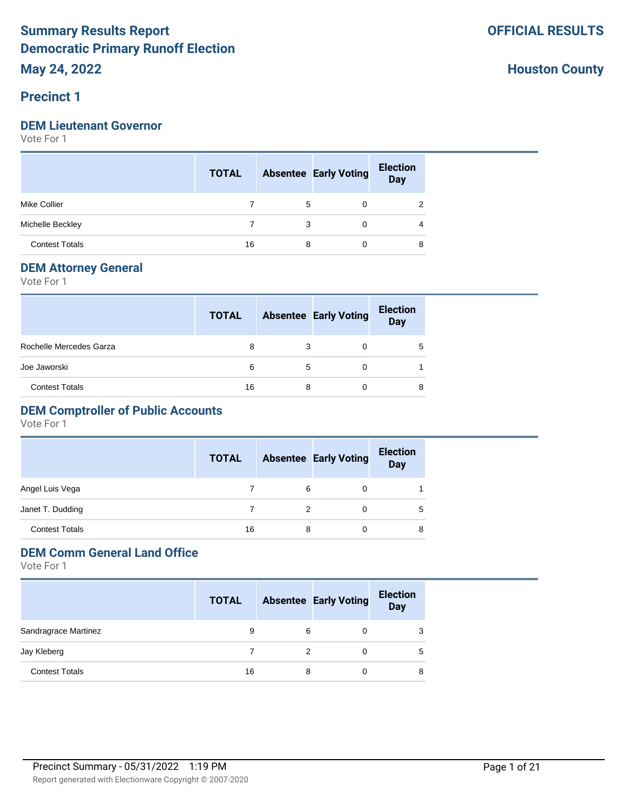#### **Precinct 1**

#### **DEM Lieutenant Governor**

Vote For 1

|                       | <b>TOTAL</b> |   | <b>Absentee Early Voting</b> | <b>Election</b><br>Day |
|-----------------------|--------------|---|------------------------------|------------------------|
| <b>Mike Collier</b>   |              | 5 |                              |                        |
| Michelle Beckley      |              | 3 | 0                            | 4                      |
| <b>Contest Totals</b> | 16           | 8 |                              | 8                      |

#### **DEM Attorney General**

Vote For 1

|                         | <b>TOTAL</b> |   | <b>Absentee Early Voting</b> | <b>Election</b><br>Day |
|-------------------------|--------------|---|------------------------------|------------------------|
| Rochelle Mercedes Garza | 8            | 3 | 0                            | 5                      |
| Joe Jaworski            | 6            | 5 |                              |                        |
| <b>Contest Totals</b>   | 16           | 8 |                              | 8                      |

## **DEM Comptroller of Public Accounts**

Vote For 1

|                       | <b>TOTAL</b> |   | <b>Absentee Early Voting</b> | <b>Election</b><br><b>Day</b> |
|-----------------------|--------------|---|------------------------------|-------------------------------|
| Angel Luis Vega       |              | 6 | 0                            |                               |
| Janet T. Dudding      |              |   |                              | 5                             |
| <b>Contest Totals</b> | 16           | 8 |                              | 8                             |

## **DEM Comm General Land Office**

|                       | <b>TOTAL</b> |   | <b>Absentee Early Voting</b> | <b>Election</b><br>Day |
|-----------------------|--------------|---|------------------------------|------------------------|
| Sandragrace Martinez  | 9            | 6 |                              | 3                      |
| Jay Kleberg           |              | 2 |                              | 5                      |
| <b>Contest Totals</b> | 16           | 8 |                              | 8                      |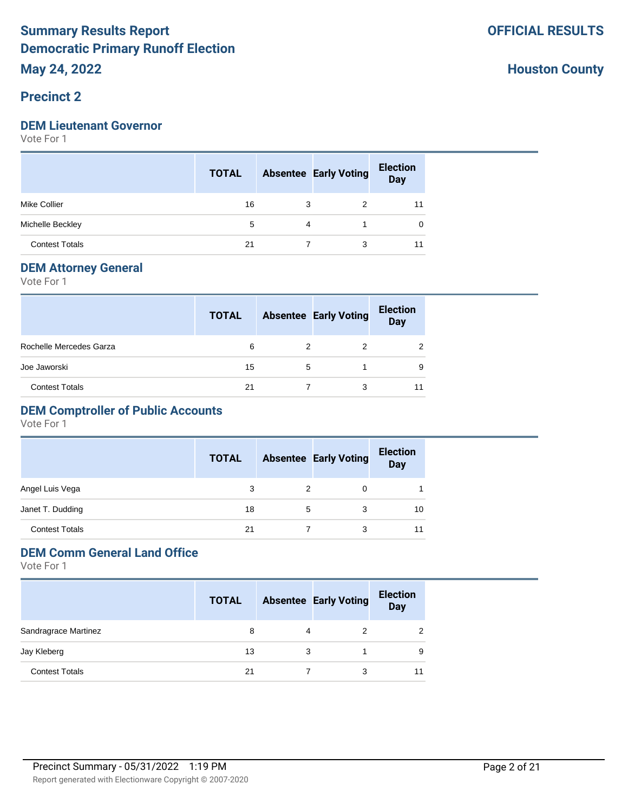## **Precinct 2**

#### **DEM Lieutenant Governor**

Vote For 1

|                       | <b>TOTAL</b> |                | <b>Absentee Early Voting</b> | <b>Election</b><br>Day |
|-----------------------|--------------|----------------|------------------------------|------------------------|
| <b>Mike Collier</b>   | 16           | 3              | 2                            | 11                     |
| Michelle Beckley      | 5            | $\overline{4}$ |                              | 0                      |
| <b>Contest Totals</b> | 21           |                | 3                            | 11                     |

#### **DEM Attorney General**

Vote For 1

|                         | <b>TOTAL</b> |   | <b>Absentee Early Voting</b> | <b>Election</b><br><b>Day</b> |
|-------------------------|--------------|---|------------------------------|-------------------------------|
| Rochelle Mercedes Garza | 6            | 2 | 2                            |                               |
| Joe Jaworski            | 15           | 5 |                              | 9                             |
| <b>Contest Totals</b>   | 21           |   | 3                            |                               |

## **DEM Comptroller of Public Accounts**

Vote For 1

|                       | <b>TOTAL</b> |   | <b>Absentee Early Voting</b> | <b>Election</b><br><b>Day</b> |
|-----------------------|--------------|---|------------------------------|-------------------------------|
| Angel Luis Vega       | 3            | 2 | 0                            |                               |
| Janet T. Dudding      | 18           | 5 | 3                            | 10                            |
| <b>Contest Totals</b> | 21           |   | 3                            | 11                            |

# **DEM Comm General Land Office**

|                       | <b>TOTAL</b> |   | <b>Absentee Early Voting</b> | <b>Election</b><br><b>Day</b> |
|-----------------------|--------------|---|------------------------------|-------------------------------|
| Sandragrace Martinez  | 8            | 4 |                              |                               |
| Jay Kleberg           | 13           | 3 |                              | 9                             |
| <b>Contest Totals</b> | 21           |   | 3                            |                               |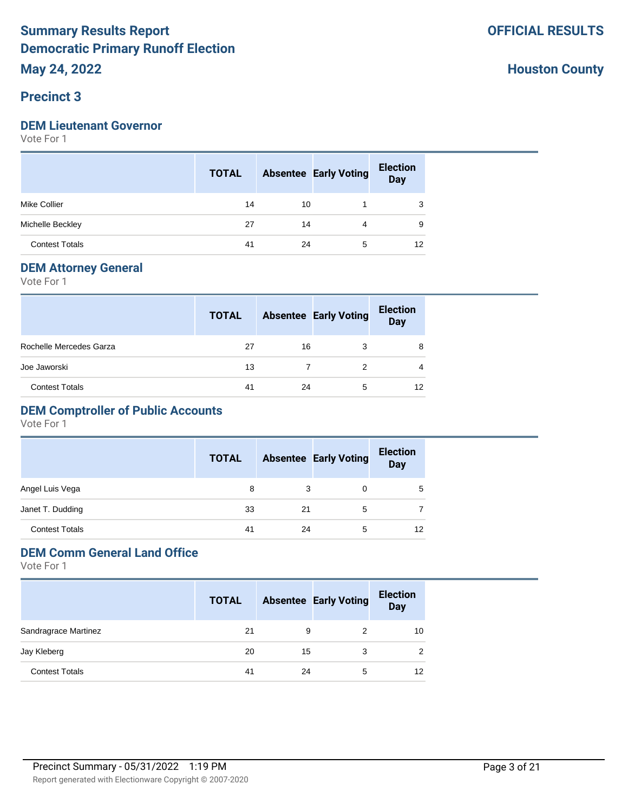#### **Precinct 3**

#### **DEM Lieutenant Governor**

Vote For 1

|                       | <b>TOTAL</b> |    | <b>Absentee Early Voting</b> | <b>Election</b><br><b>Day</b> |
|-----------------------|--------------|----|------------------------------|-------------------------------|
| <b>Mike Collier</b>   | 14           | 10 |                              | 3                             |
| Michelle Beckley      | 27           | 14 |                              | 9                             |
| <b>Contest Totals</b> | 41           | 24 | 5                            | 12                            |

#### **DEM Attorney General**

Vote For 1

|                         | <b>TOTAL</b> |    | <b>Absentee Early Voting</b> | <b>Election</b><br><b>Day</b> |
|-------------------------|--------------|----|------------------------------|-------------------------------|
| Rochelle Mercedes Garza | 27           | 16 | 3                            | 8                             |
| Joe Jaworski            | 13           |    | 2                            |                               |
| <b>Contest Totals</b>   | 41           | 24 | 5                            | 12                            |

## **DEM Comptroller of Public Accounts**

Vote For 1

|                       | <b>TOTAL</b> |    | <b>Absentee Early Voting</b> | <b>Election</b><br><b>Day</b> |
|-----------------------|--------------|----|------------------------------|-------------------------------|
| Angel Luis Vega       | 8            | 3  |                              | 5                             |
| Janet T. Dudding      | 33           | 21 | 5                            |                               |
| <b>Contest Totals</b> | 41           | 24 | 5                            | 12                            |

## **DEM Comm General Land Office**

|                       | <b>TOTAL</b> |    | <b>Absentee Early Voting</b> | <b>Election</b><br><b>Day</b> |
|-----------------------|--------------|----|------------------------------|-------------------------------|
| Sandragrace Martinez  | 21           | 9  |                              | 10                            |
| Jay Kleberg           | 20           | 15 | 3                            | 2                             |
| <b>Contest Totals</b> | 41           | 24 | 5                            | 12                            |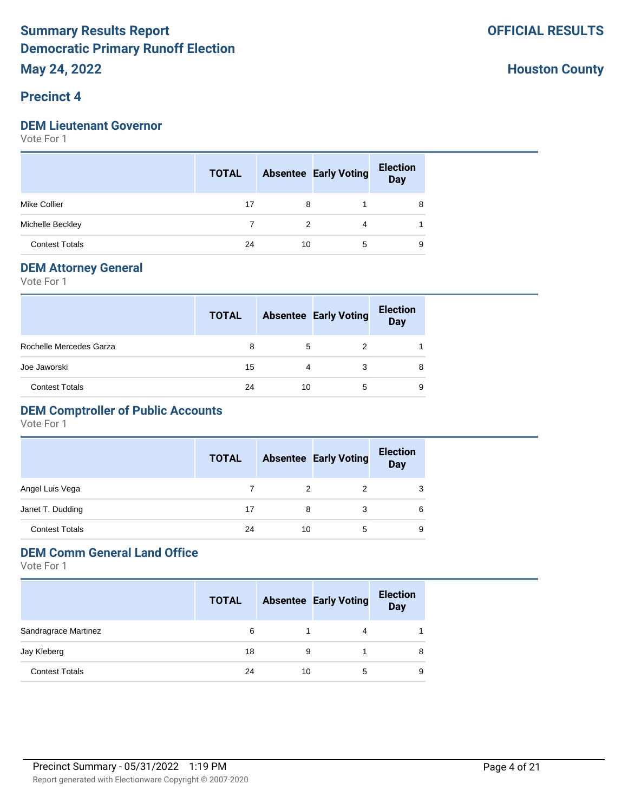#### **Precinct 4**

#### **DEM Lieutenant Governor**

Vote For 1

|                       | <b>TOTAL</b> |               | <b>Absentee Early Voting</b> | <b>Election</b><br>Day |
|-----------------------|--------------|---------------|------------------------------|------------------------|
| <b>Mike Collier</b>   | 17           | 8             |                              | 8                      |
| Michelle Beckley      |              | $\mathcal{P}$ | 4                            |                        |
| <b>Contest Totals</b> | 24           | 10            | 5                            | 9                      |

#### **DEM Attorney General**

Vote For 1

|                         | <b>TOTAL</b> |    | <b>Absentee Early Voting</b> | <b>Election</b><br>Day |  |
|-------------------------|--------------|----|------------------------------|------------------------|--|
| Rochelle Mercedes Garza | 8            | 5  | 2                            |                        |  |
| Joe Jaworski            | 15           | 4  | 3                            | 8                      |  |
| <b>Contest Totals</b>   | 24           | 10 | 5                            | 9                      |  |

## **DEM Comptroller of Public Accounts**

Vote For 1

|                       | <b>TOTAL</b> |    | <b>Absentee Early Voting</b> | <b>Election</b><br><b>Day</b> |
|-----------------------|--------------|----|------------------------------|-------------------------------|
| Angel Luis Vega       |              | 2  | 2                            | 3                             |
| Janet T. Dudding      | 17           | 8  | 3                            | 6                             |
| <b>Contest Totals</b> | 24           | 10 | 5                            | 9                             |

## **DEM Comm General Land Office**

|                       | <b>TOTAL</b> |    | <b>Absentee Early Voting</b> | <b>Election</b><br><b>Day</b> |
|-----------------------|--------------|----|------------------------------|-------------------------------|
| Sandragrace Martinez  | 6            |    |                              |                               |
| Jay Kleberg           | 18           | 9  |                              | 8                             |
| <b>Contest Totals</b> | 24           | 10 | 5                            | 9                             |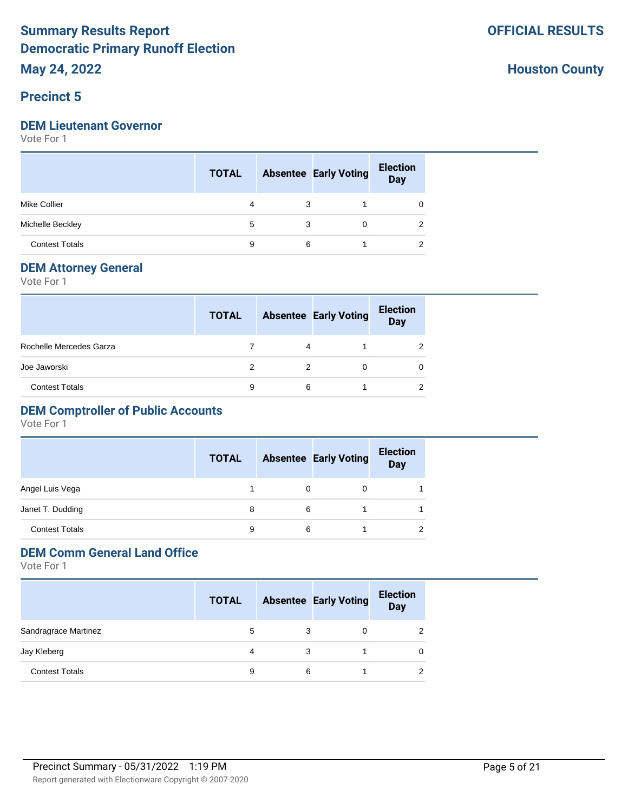## **Precinct 5**

#### **DEM Lieutenant Governor**

Vote For 1

|                       | <b>TOTAL</b> |   | <b>Absentee Early Voting</b> | <b>Election</b><br>Day |
|-----------------------|--------------|---|------------------------------|------------------------|
| <b>Mike Collier</b>   | 4            | 3 |                              | 0                      |
| Michelle Beckley      | 5            | 3 | 0                            | 2                      |
| <b>Contest Totals</b> | 9            | 6 |                              | ◠                      |

#### **DEM Attorney General**

Vote For 1

|                         | <b>TOTAL</b> |   | <b>Absentee Early Voting</b> | <b>Election</b><br>Day |
|-------------------------|--------------|---|------------------------------|------------------------|
| Rochelle Mercedes Garza |              | 4 |                              |                        |
| Joe Jaworski            |              | 2 |                              |                        |
| <b>Contest Totals</b>   | 9            | 6 |                              |                        |

## **DEM Comptroller of Public Accounts**

Vote For 1

|                       | <b>TOTAL</b> |   | <b>Absentee Early Voting</b> | <b>Election</b><br><b>Day</b> |
|-----------------------|--------------|---|------------------------------|-------------------------------|
| Angel Luis Vega       |              | 0 | 0                            |                               |
| Janet T. Dudding      | 8            | 6 |                              |                               |
| <b>Contest Totals</b> | 9            | 6 |                              |                               |

## **DEM Comm General Land Office**

|                       | <b>TOTAL</b> |   | <b>Absentee Early Voting</b> | <b>Election</b><br><b>Day</b> |
|-----------------------|--------------|---|------------------------------|-------------------------------|
| Sandragrace Martinez  | 5            | 3 |                              |                               |
| Jay Kleberg           | 4            | 3 |                              |                               |
| <b>Contest Totals</b> | 9            | 6 |                              |                               |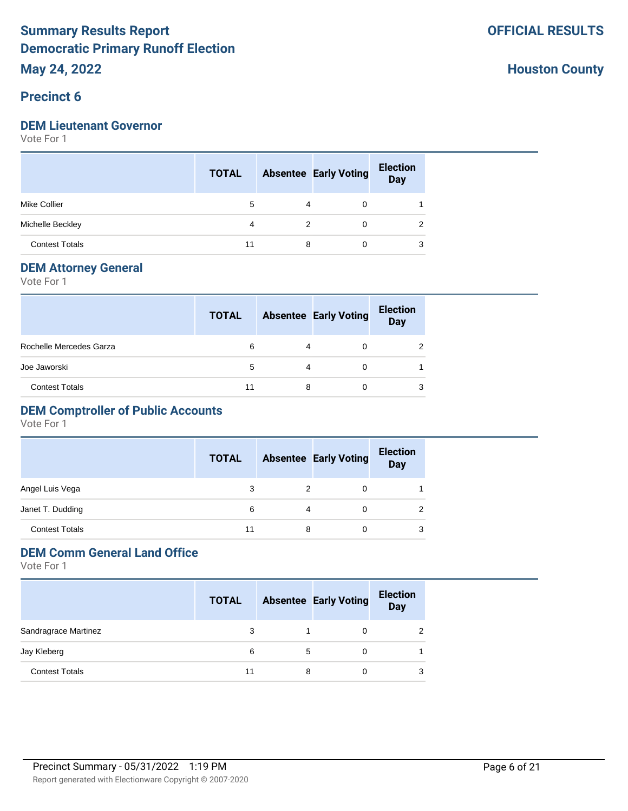#### **Precinct 6**

#### **DEM Lieutenant Governor**

Vote For 1

|                       | <b>TOTAL</b> |   | <b>Absentee Early Voting</b> | <b>Election</b><br>Day |
|-----------------------|--------------|---|------------------------------|------------------------|
| <b>Mike Collier</b>   | 5            | 4 | 0                            |                        |
| Michelle Beckley      | 4            | 2 | $\Omega$                     | 2                      |
| <b>Contest Totals</b> | 11           | 8 | 0                            | 3                      |

#### **DEM Attorney General**

Vote For 1

|                         | <b>TOTAL</b> |   | <b>Absentee Early Voting</b> | <b>Election</b><br>Day |
|-------------------------|--------------|---|------------------------------|------------------------|
| Rochelle Mercedes Garza | 6            | 4 |                              |                        |
| Joe Jaworski            | 5            | 4 |                              |                        |
| <b>Contest Totals</b>   | 11           | 8 |                              |                        |

## **DEM Comptroller of Public Accounts**

Vote For 1

|                       | <b>TOTAL</b> |   | <b>Absentee Early Voting</b> | <b>Election</b><br><b>Day</b> |
|-----------------------|--------------|---|------------------------------|-------------------------------|
| Angel Luis Vega       | 3            | 2 |                              |                               |
| Janet T. Dudding      | 6            | 4 |                              |                               |
| <b>Contest Totals</b> | 11           | 8 | 0                            | 3                             |

# **DEM Comm General Land Office**

|                       | <b>TOTAL</b> |   | <b>Absentee Early Voting</b> | <b>Election</b><br><b>Day</b> |
|-----------------------|--------------|---|------------------------------|-------------------------------|
| Sandragrace Martinez  | 3            |   |                              |                               |
| Jay Kleberg           | 6            | 5 |                              |                               |
| <b>Contest Totals</b> | 11           | 8 |                              | 3                             |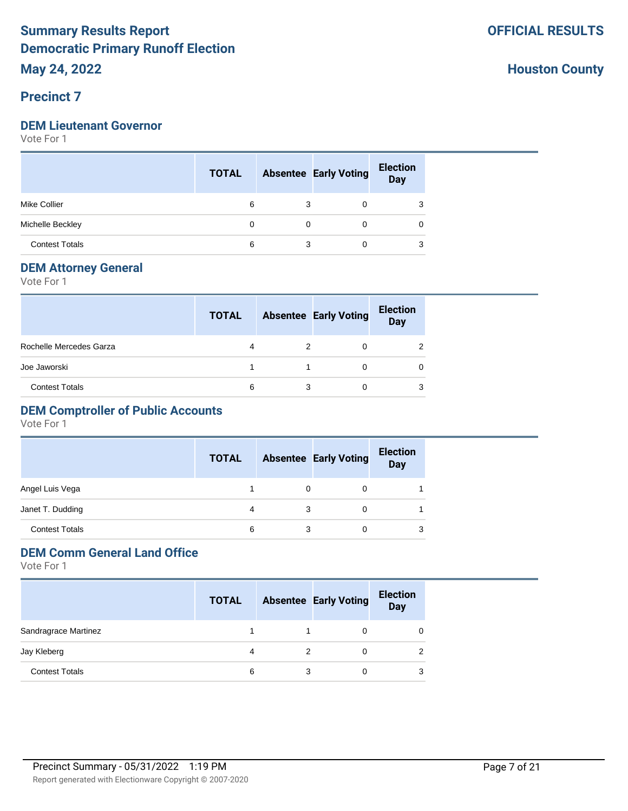## **Precinct 7**

#### **DEM Lieutenant Governor**

Vote For 1

|                       | <b>TOTAL</b> |             | <b>Absentee Early Voting</b> | <b>Election</b><br>Day |
|-----------------------|--------------|-------------|------------------------------|------------------------|
| <b>Mike Collier</b>   | 6            | 3           | 0                            | 3                      |
| Michelle Beckley      | 0            | $\mathbf 0$ | $\Omega$                     | 0                      |
| <b>Contest Totals</b> | 6            |             | 0                            | 3                      |

#### **DEM Attorney General**

Vote For 1

|                         | <b>TOTAL</b> |   | <b>Absentee Early Voting</b> | <b>Election</b><br><b>Day</b> |
|-------------------------|--------------|---|------------------------------|-------------------------------|
| Rochelle Mercedes Garza |              | 2 | 0                            |                               |
| Joe Jaworski            |              |   | 0                            |                               |
| <b>Contest Totals</b>   | 6            | 3 | 0                            | 3                             |

## **DEM Comptroller of Public Accounts**

Vote For 1

|                       | <b>TOTAL</b> |   | <b>Absentee Early Voting</b> | <b>Election</b><br><b>Day</b> |
|-----------------------|--------------|---|------------------------------|-------------------------------|
| Angel Luis Vega       |              | 0 | 0                            |                               |
| Janet T. Dudding      | 4            | 3 | 0                            |                               |
| <b>Contest Totals</b> | 6            |   | 0                            |                               |

## **DEM Comm General Land Office**

|                       | <b>TOTAL</b> |   | <b>Absentee Early Voting</b> | <b>Election</b><br>Day |
|-----------------------|--------------|---|------------------------------|------------------------|
| Sandragrace Martinez  |              |   |                              |                        |
| Jay Kleberg           |              | 2 |                              |                        |
| <b>Contest Totals</b> | 6            | 3 |                              |                        |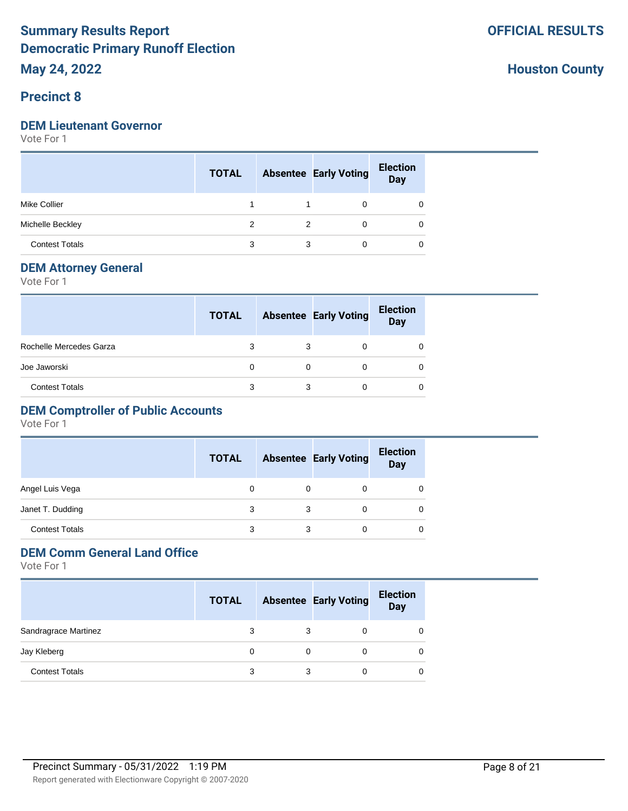#### **Precinct 8**

#### **DEM Lieutenant Governor**

Vote For 1

|                       | <b>TOTAL</b> |   | <b>Absentee Early Voting</b> | <b>Election</b><br>Day |
|-----------------------|--------------|---|------------------------------|------------------------|
| <b>Mike Collier</b>   |              |   | 0                            |                        |
| Michelle Beckley      | 2            | 2 | $\Omega$                     | 0                      |
| <b>Contest Totals</b> | 3            | 3 | 0                            | 0                      |

#### **DEM Attorney General**

Vote For 1

|                         | <b>TOTAL</b> |   | <b>Absentee Early Voting</b> | <b>Election</b><br><b>Day</b> |
|-------------------------|--------------|---|------------------------------|-------------------------------|
| Rochelle Mercedes Garza |              |   |                              |                               |
| Joe Jaworski            |              |   |                              |                               |
| <b>Contest Totals</b>   | 3            | 3 |                              |                               |

#### **DEM Comptroller of Public Accounts**

Vote For 1

|                       | <b>TOTAL</b> |   | <b>Absentee Early Voting</b> | <b>Election</b><br><b>Day</b> |
|-----------------------|--------------|---|------------------------------|-------------------------------|
| Angel Luis Vega       | 0            | 0 |                              |                               |
| Janet T. Dudding      | 3            |   |                              |                               |
| <b>Contest Totals</b> | 3            | 3 |                              | 0                             |

## **DEM Comm General Land Office**

|                       | <b>TOTAL</b> |   | <b>Absentee Early Voting</b> | <b>Election</b><br><b>Day</b> |
|-----------------------|--------------|---|------------------------------|-------------------------------|
| Sandragrace Martinez  |              | 3 |                              |                               |
| Jay Kleberg           |              |   |                              |                               |
| <b>Contest Totals</b> | 3            | 3 | 0                            |                               |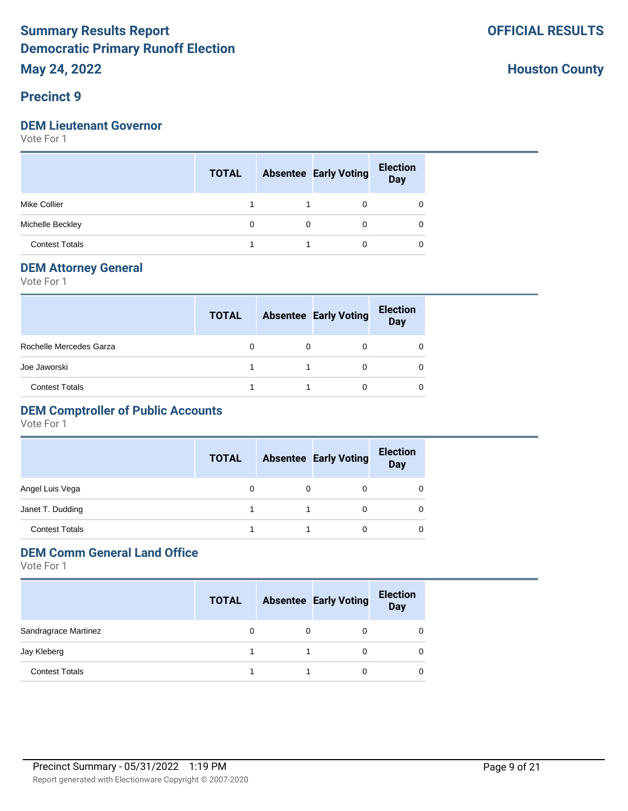#### **Precinct 9**

#### **DEM Lieutenant Governor**

Vote For 1

|                       | <b>TOTAL</b> |          | <b>Absentee Early Voting</b> | <b>Election</b><br>Day |
|-----------------------|--------------|----------|------------------------------|------------------------|
| <b>Mike Collier</b>   |              |          | 0                            |                        |
| Michelle Beckley      | 0            | $\Omega$ | 0                            | 0                      |
| <b>Contest Totals</b> |              |          |                              |                        |

#### **DEM Attorney General**

Vote For 1

|                         | <b>TOTAL</b> |   | <b>Absentee Early Voting</b> | <b>Election</b><br>Day |
|-------------------------|--------------|---|------------------------------|------------------------|
| Rochelle Mercedes Garza |              | 0 |                              |                        |
| Joe Jaworski            |              |   |                              |                        |
| <b>Contest Totals</b>   |              |   |                              |                        |

## **DEM Comptroller of Public Accounts**

Vote For 1

|                       | <b>TOTAL</b> | <b>Absentee Early Voting</b> | <b>Election</b><br><b>Day</b> |
|-----------------------|--------------|------------------------------|-------------------------------|
| Angel Luis Vega       | 0            |                              | O                             |
| Janet T. Dudding      |              | 0                            | 0                             |
| <b>Contest Totals</b> |              | 0                            | 0                             |

## **DEM Comm General Land Office**

|                       | <b>TOTAL</b> | <b>Absentee Early Voting</b> | <b>Election</b><br><b>Day</b> |
|-----------------------|--------------|------------------------------|-------------------------------|
| Sandragrace Martinez  |              |                              |                               |
| Jay Kleberg           |              |                              |                               |
| <b>Contest Totals</b> |              |                              |                               |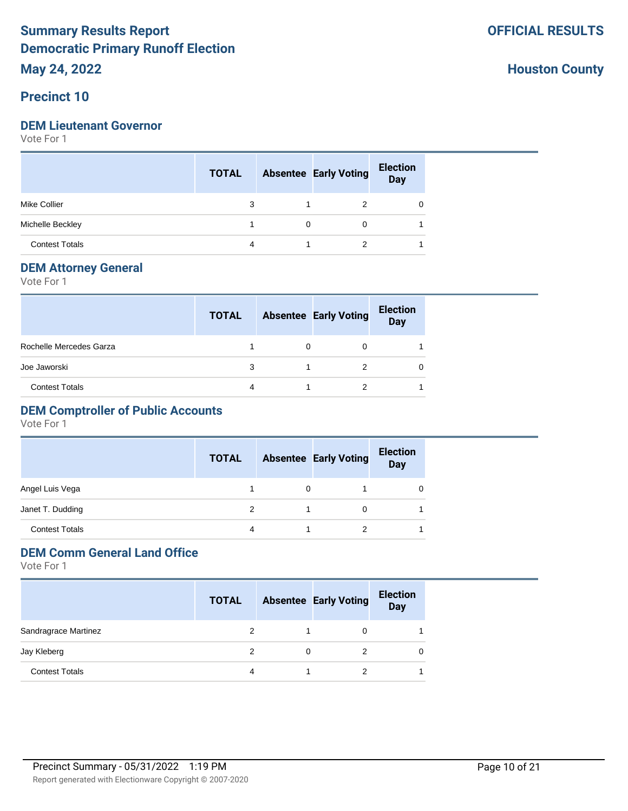#### **Precinct 10**

#### **DEM Lieutenant Governor**

Vote For 1

|                       | <b>TOTAL</b> |   | <b>Absentee Early Voting</b> | <b>Election</b><br>Day |
|-----------------------|--------------|---|------------------------------|------------------------|
| <b>Mike Collier</b>   | 3            |   | 2                            | 0                      |
| Michelle Beckley      |              | 0 | 0                            |                        |
| <b>Contest Totals</b> | 4            |   |                              |                        |

#### **DEM Attorney General**

Vote For 1

|                         | <b>TOTAL</b> | <b>Absentee Early Voting</b> | <b>Election</b><br>Day |
|-------------------------|--------------|------------------------------|------------------------|
| Rochelle Mercedes Garza |              |                              |                        |
| Joe Jaworski            | 3            |                              |                        |
| <b>Contest Totals</b>   |              |                              |                        |

## **DEM Comptroller of Public Accounts**

Vote For 1

|                       | <b>TOTAL</b> |   | <b>Absentee Early Voting</b> | <b>Election</b><br><b>Day</b> |
|-----------------------|--------------|---|------------------------------|-------------------------------|
| Angel Luis Vega       |              | 0 |                              |                               |
| Janet T. Dudding      |              |   | 0                            |                               |
| <b>Contest Totals</b> | 4            |   | 2                            |                               |

## **DEM Comm General Land Office**

|                       | <b>TOTAL</b> |   | <b>Absentee Early Voting</b> | <b>Election</b><br><b>Day</b> |
|-----------------------|--------------|---|------------------------------|-------------------------------|
| Sandragrace Martinez  | 2            |   | 0                            |                               |
| Jay Kleberg           | 2            | 0 | 2                            |                               |
| <b>Contest Totals</b> | 4            |   | 2                            |                               |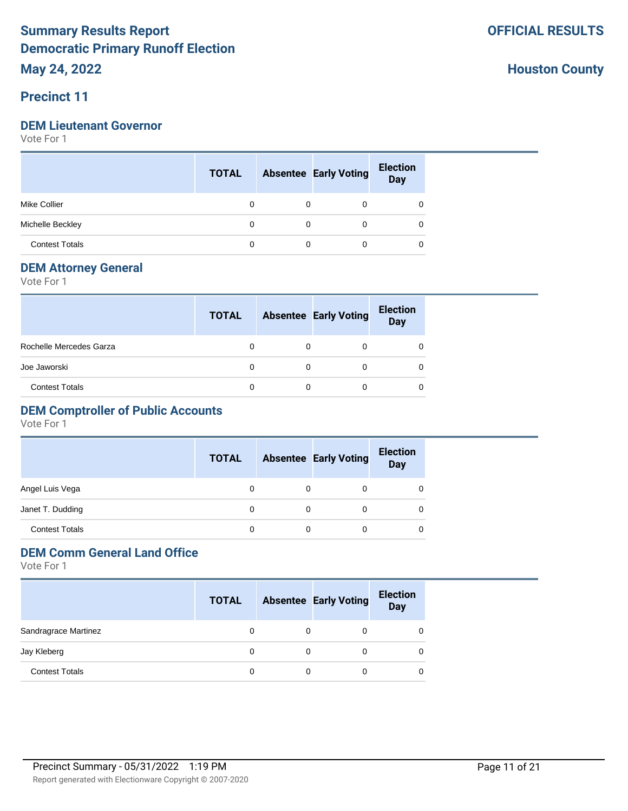#### **Precinct 11**

#### **DEM Lieutenant Governor**

Vote For 1

|                       | <b>TOTAL</b> |          | <b>Absentee Early Voting</b> | <b>Election</b><br>Day |
|-----------------------|--------------|----------|------------------------------|------------------------|
| <b>Mike Collier</b>   | 0            |          | 0                            | 0                      |
| Michelle Beckley      | 0            | $\Omega$ | 0                            | 0                      |
| <b>Contest Totals</b> | 0            |          | 0                            | 0                      |

#### **DEM Attorney General**

Vote For 1

|                         | <b>TOTAL</b> | <b>Absentee Early Voting</b> | <b>Election</b><br><b>Day</b> |
|-------------------------|--------------|------------------------------|-------------------------------|
| Rochelle Mercedes Garza |              |                              |                               |
| Joe Jaworski            |              | 0                            |                               |
| <b>Contest Totals</b>   |              |                              |                               |

## **DEM Comptroller of Public Accounts**

Vote For 1

|                       | <b>TOTAL</b> |          | <b>Absentee Early Voting</b> | <b>Election</b><br><b>Day</b> |
|-----------------------|--------------|----------|------------------------------|-------------------------------|
| Angel Luis Vega       | 0            | $\Omega$ |                              |                               |
| Janet T. Dudding      | 0            |          |                              |                               |
| <b>Contest Totals</b> | 0            |          |                              | 0                             |

## **DEM Comm General Land Office**

|                       | <b>TOTAL</b> | <b>Absentee Early Voting</b> | <b>Election</b><br><b>Day</b> |
|-----------------------|--------------|------------------------------|-------------------------------|
| Sandragrace Martinez  |              |                              |                               |
| Jay Kleberg           |              |                              | O                             |
| <b>Contest Totals</b> |              | 0                            |                               |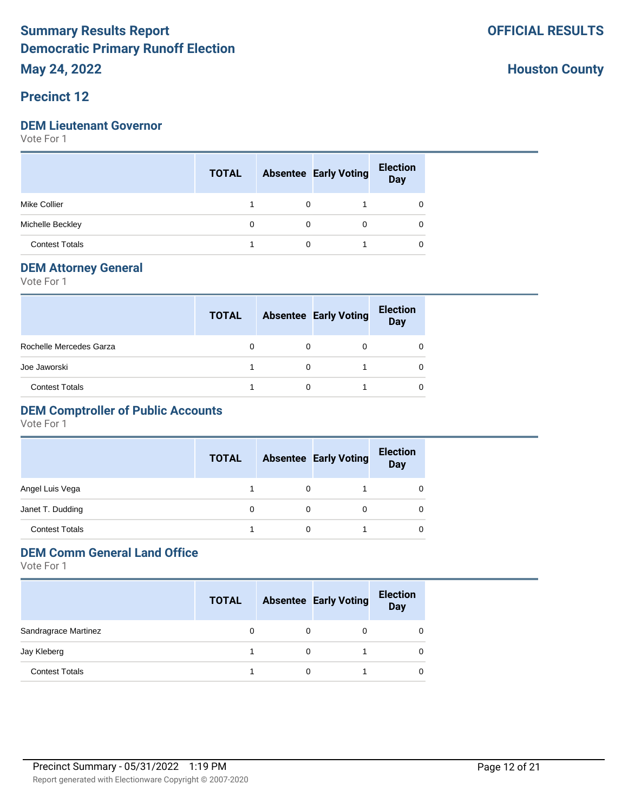#### **Precinct 12**

#### **DEM Lieutenant Governor**

Vote For 1

|                       | <b>TOTAL</b> |             | <b>Absentee Early Voting</b> | <b>Election</b><br>Day |
|-----------------------|--------------|-------------|------------------------------|------------------------|
| <b>Mike Collier</b>   |              |             |                              |                        |
| Michelle Beckley      | 0            | $\mathbf 0$ | $\Omega$                     | 0                      |
| <b>Contest Totals</b> |              |             |                              | 0                      |

#### **DEM Attorney General**

Vote For 1

|                         | <b>TOTAL</b> | <b>Absentee Early Voting</b> | <b>Election</b><br><b>Day</b> |
|-------------------------|--------------|------------------------------|-------------------------------|
| Rochelle Mercedes Garza |              | 0                            | 0                             |
| Joe Jaworski            |              |                              | 0                             |
| <b>Contest Totals</b>   |              |                              |                               |

#### **DEM Comptroller of Public Accounts**

Vote For 1

|                       | <b>TOTAL</b> |   | <b>Absentee Early Voting</b> | <b>Election</b><br><b>Day</b> |
|-----------------------|--------------|---|------------------------------|-------------------------------|
| Angel Luis Vega       |              | 0 |                              |                               |
| Janet T. Dudding      | 0            | 0 |                              |                               |
| <b>Contest Totals</b> |              | 0 |                              |                               |

## **DEM Comm General Land Office**

|                       | <b>TOTAL</b> |   | <b>Absentee Early Voting</b> | <b>Election</b><br><b>Day</b> |
|-----------------------|--------------|---|------------------------------|-------------------------------|
| Sandragrace Martinez  |              | 0 | 0                            |                               |
| Jay Kleberg           |              | 0 |                              |                               |
| <b>Contest Totals</b> |              | 0 |                              |                               |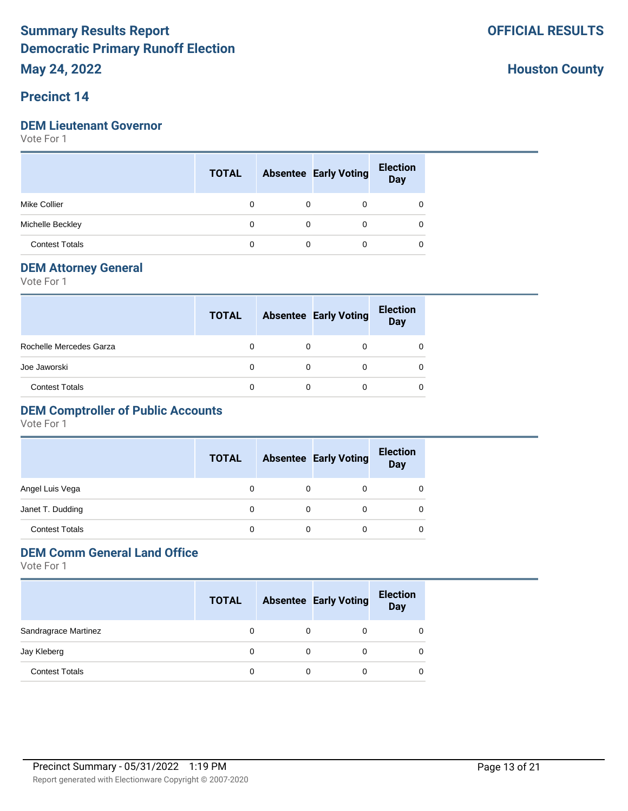#### **Precinct 14**

#### **DEM Lieutenant Governor**

Vote For 1

|                       | <b>TOTAL</b> |          | <b>Absentee Early Voting</b> | <b>Election</b><br>Day |
|-----------------------|--------------|----------|------------------------------|------------------------|
| <b>Mike Collier</b>   | 0            |          | 0                            |                        |
| Michelle Beckley      | 0            | $\Omega$ | $\Omega$                     | 0                      |
| <b>Contest Totals</b> |              |          | 0                            | 0                      |

#### **DEM Attorney General**

Vote For 1

|                         | <b>TOTAL</b> | <b>Absentee Early Voting</b> | <b>Election</b><br><b>Day</b> |
|-------------------------|--------------|------------------------------|-------------------------------|
| Rochelle Mercedes Garza |              |                              |                               |
| Joe Jaworski            |              |                              |                               |
| <b>Contest Totals</b>   |              |                              |                               |

#### **DEM Comptroller of Public Accounts**

Vote For 1

|                       | <b>TOTAL</b> |   | <b>Absentee Early Voting</b> | <b>Election</b><br><b>Day</b> |
|-----------------------|--------------|---|------------------------------|-------------------------------|
| Angel Luis Vega       | 0            | 0 |                              |                               |
| Janet T. Dudding      | 0            | 0 |                              |                               |
| <b>Contest Totals</b> | 0            | 0 |                              |                               |

## **DEM Comm General Land Office**

|                       | <b>TOTAL</b> |   | <b>Absentee Early Voting</b> | <b>Election</b><br><b>Day</b> |
|-----------------------|--------------|---|------------------------------|-------------------------------|
| Sandragrace Martinez  |              | 0 | 0                            |                               |
| Jay Kleberg           |              | 0 | 0                            |                               |
| <b>Contest Totals</b> |              | 0 | 0                            |                               |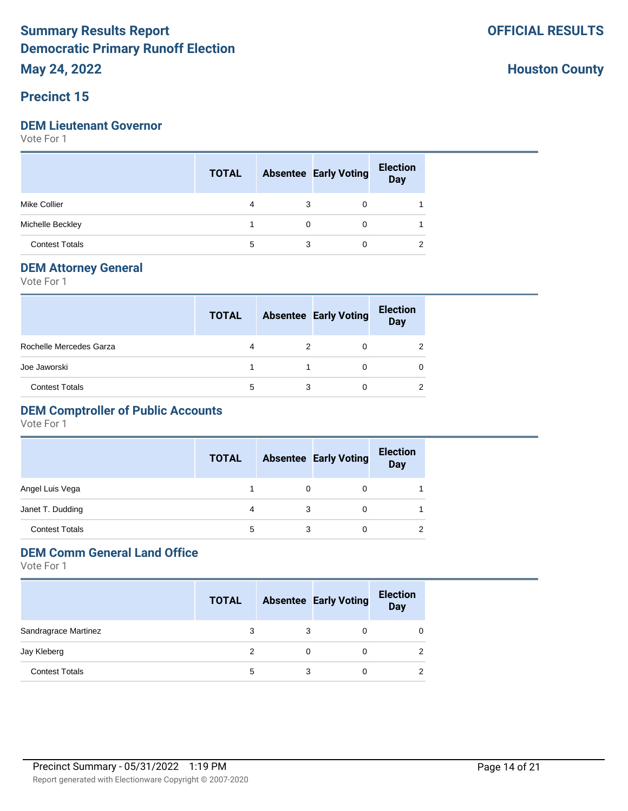#### **Precinct 15**

#### **DEM Lieutenant Governor**

Vote For 1

|                       | <b>TOTAL</b> |          | <b>Absentee Early Voting</b> | <b>Election</b><br>Day |
|-----------------------|--------------|----------|------------------------------|------------------------|
| <b>Mike Collier</b>   | 4            | 3        | 0                            |                        |
| Michelle Beckley      |              | $\Omega$ | $\Omega$                     |                        |
| <b>Contest Totals</b> | 5            | 3        | 0                            | ◠                      |

#### **DEM Attorney General**

Vote For 1

|                         | <b>TOTAL</b> |   | <b>Absentee Early Voting</b> | <b>Election</b><br><b>Day</b> |
|-------------------------|--------------|---|------------------------------|-------------------------------|
| Rochelle Mercedes Garza | 4            |   | 0                            |                               |
| Joe Jaworski            |              |   |                              |                               |
| <b>Contest Totals</b>   | 5            | 3 |                              | ◠                             |

## **DEM Comptroller of Public Accounts**

Vote For 1

|                       | <b>TOTAL</b> |   | <b>Absentee Early Voting</b> | <b>Election</b><br><b>Day</b> |
|-----------------------|--------------|---|------------------------------|-------------------------------|
| Angel Luis Vega       |              |   | 0                            |                               |
| Janet T. Dudding      | 4            |   |                              |                               |
| <b>Contest Totals</b> | 5            | 3 | 0                            |                               |

## **DEM Comm General Land Office**

|                       | <b>TOTAL</b> |   | <b>Absentee Early Voting</b> | <b>Election</b><br><b>Day</b> |
|-----------------------|--------------|---|------------------------------|-------------------------------|
| Sandragrace Martinez  | 3            | 3 | 0                            |                               |
| Jay Kleberg           | 2            | 0 | 0                            |                               |
| <b>Contest Totals</b> | 5            | 3 | 0                            |                               |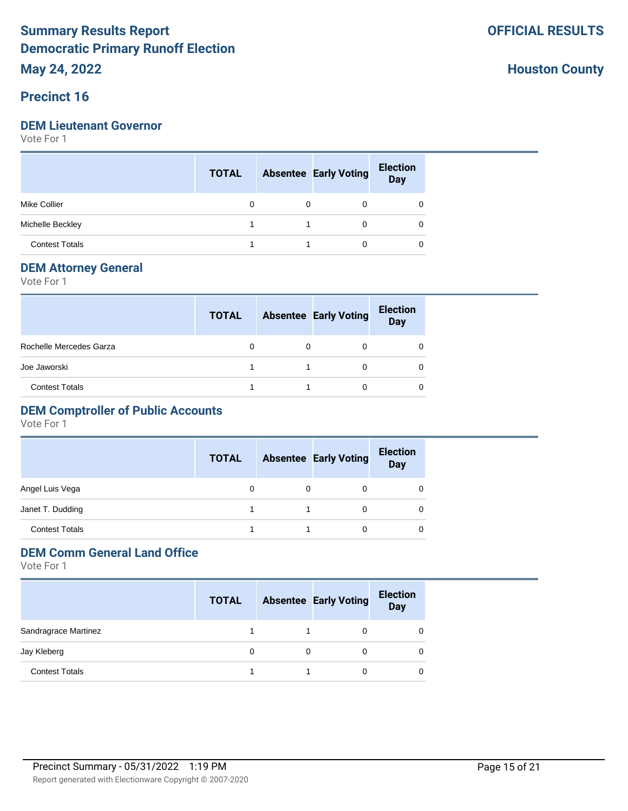#### **Precinct 16**

#### **DEM Lieutenant Governor**

Vote For 1

|                       | <b>TOTAL</b> | <b>Absentee Early Voting</b> | <b>Election</b><br>Day |
|-----------------------|--------------|------------------------------|------------------------|
| <b>Mike Collier</b>   | 0            | 0                            | 0                      |
| Michelle Beckley      |              | 0                            | 0                      |
| <b>Contest Totals</b> |              | 0                            | 0                      |

#### **DEM Attorney General**

Vote For 1

|                         | <b>TOTAL</b> |   | <b>Absentee Early Voting</b> | <b>Election</b><br><b>Day</b> |
|-------------------------|--------------|---|------------------------------|-------------------------------|
| Rochelle Mercedes Garza |              | 0 | 0                            |                               |
| Joe Jaworski            |              |   | 0                            |                               |
| <b>Contest Totals</b>   |              |   | 0                            |                               |

## **DEM Comptroller of Public Accounts**

Vote For 1

|                       | <b>TOTAL</b> |   | <b>Absentee Early Voting</b> | <b>Election</b><br><b>Day</b> |
|-----------------------|--------------|---|------------------------------|-------------------------------|
| Angel Luis Vega       | 0            | 0 |                              |                               |
| Janet T. Dudding      |              |   |                              |                               |
| <b>Contest Totals</b> |              |   |                              | 0                             |

## **DEM Comm General Land Office**

|                       | <b>TOTAL</b> | <b>Absentee Early Voting</b> | <b>Election</b><br><b>Day</b> |
|-----------------------|--------------|------------------------------|-------------------------------|
| Sandragrace Martinez  |              |                              |                               |
| Jay Kleberg           |              |                              | O                             |
| <b>Contest Totals</b> |              | 0                            |                               |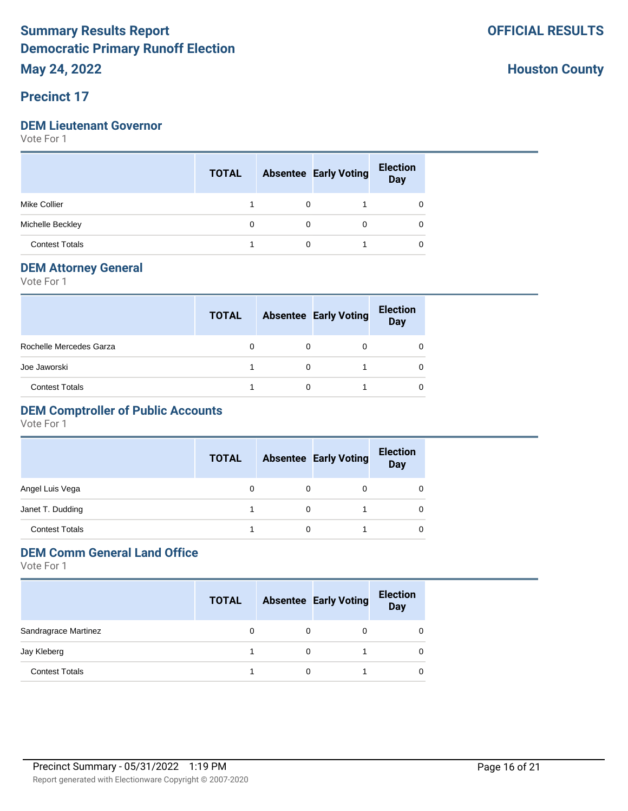#### **Precinct 17**

#### **DEM Lieutenant Governor**

Vote For 1

|                       | <b>TOTAL</b> |             | <b>Absentee Early Voting</b> | <b>Election</b><br><b>Day</b> |
|-----------------------|--------------|-------------|------------------------------|-------------------------------|
| <b>Mike Collier</b>   |              | $\Omega$    |                              | 0                             |
| Michelle Beckley      | 0            | $\mathbf 0$ | $\Omega$                     | 0                             |
| <b>Contest Totals</b> |              |             |                              |                               |

#### **DEM Attorney General**

Vote For 1

|                         | <b>TOTAL</b> |   | <b>Absentee Early Voting</b> | <b>Election</b><br><b>Day</b> |
|-------------------------|--------------|---|------------------------------|-------------------------------|
| Rochelle Mercedes Garza |              | 0 | 0                            |                               |
| Joe Jaworski            |              | 0 |                              |                               |
| <b>Contest Totals</b>   |              | ი |                              |                               |

## **DEM Comptroller of Public Accounts**

Vote For 1

|                       | <b>TOTAL</b> |   | <b>Absentee Early Voting</b> | <b>Election</b><br><b>Day</b> |
|-----------------------|--------------|---|------------------------------|-------------------------------|
| Angel Luis Vega       | 0            | 0 | 0                            |                               |
| Janet T. Dudding      |              | 0 |                              |                               |
| <b>Contest Totals</b> |              | 0 |                              |                               |

#### **DEM Comm General Land Office**

|                       | <b>TOTAL</b> |   | <b>Absentee Early Voting</b> | <b>Election</b><br><b>Day</b> |
|-----------------------|--------------|---|------------------------------|-------------------------------|
| Sandragrace Martinez  |              | 0 | 0                            |                               |
| Jay Kleberg           |              | 0 |                              |                               |
| <b>Contest Totals</b> |              | 0 |                              |                               |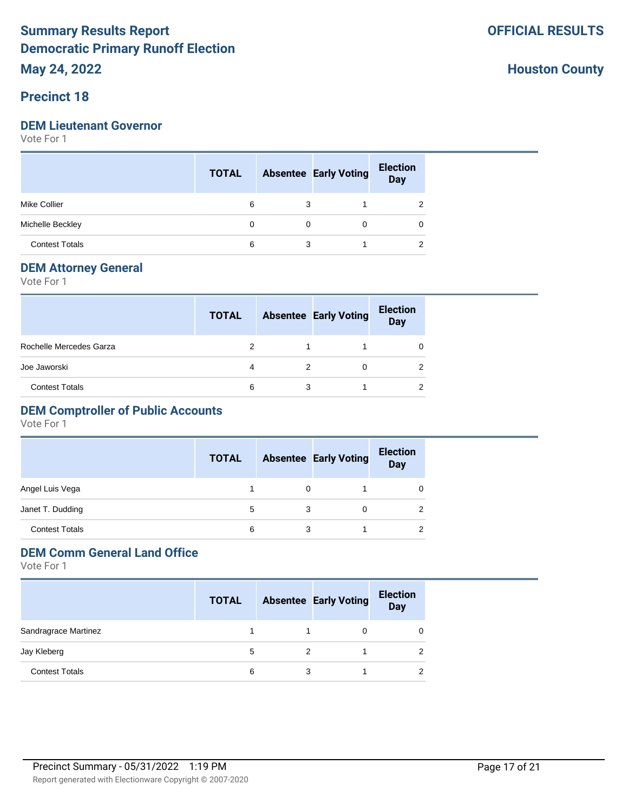#### **Precinct 18**

#### **DEM Lieutenant Governor**

Vote For 1

|                       | <b>TOTAL</b> |   | <b>Absentee Early Voting</b> | <b>Election</b><br>Day |
|-----------------------|--------------|---|------------------------------|------------------------|
| <b>Mike Collier</b>   | 6            | 3 |                              | 2                      |
| Michelle Beckley      | 0            | 0 | 0                            | 0                      |
| <b>Contest Totals</b> | 6            | 3 |                              | ◠                      |

#### **DEM Attorney General**

Vote For 1

|                         | <b>TOTAL</b>  |   | <b>Absentee Early Voting</b> | <b>Election</b><br><b>Day</b> |  |
|-------------------------|---------------|---|------------------------------|-------------------------------|--|
| Rochelle Mercedes Garza | $\mathcal{P}$ |   |                              |                               |  |
| Joe Jaworski            | 4             | 2 | Ω                            |                               |  |
| <b>Contest Totals</b>   | 6             | 3 |                              |                               |  |

## **DEM Comptroller of Public Accounts**

Vote For 1

|                       | <b>TOTAL</b> |   | <b>Absentee Early Voting</b> | <b>Election</b><br><b>Day</b> |
|-----------------------|--------------|---|------------------------------|-------------------------------|
| Angel Luis Vega       |              | 0 |                              |                               |
| Janet T. Dudding      | 5            | 3 | Ω                            |                               |
| <b>Contest Totals</b> | 6            |   |                              |                               |

## **DEM Comm General Land Office**

|                       | <b>TOTAL</b> |   | <b>Absentee Early Voting</b> | <b>Election</b><br><b>Day</b> |
|-----------------------|--------------|---|------------------------------|-------------------------------|
| Sandragrace Martinez  |              |   |                              |                               |
| Jay Kleberg           | 5            | 2 |                              |                               |
| <b>Contest Totals</b> | 6            | 3 |                              |                               |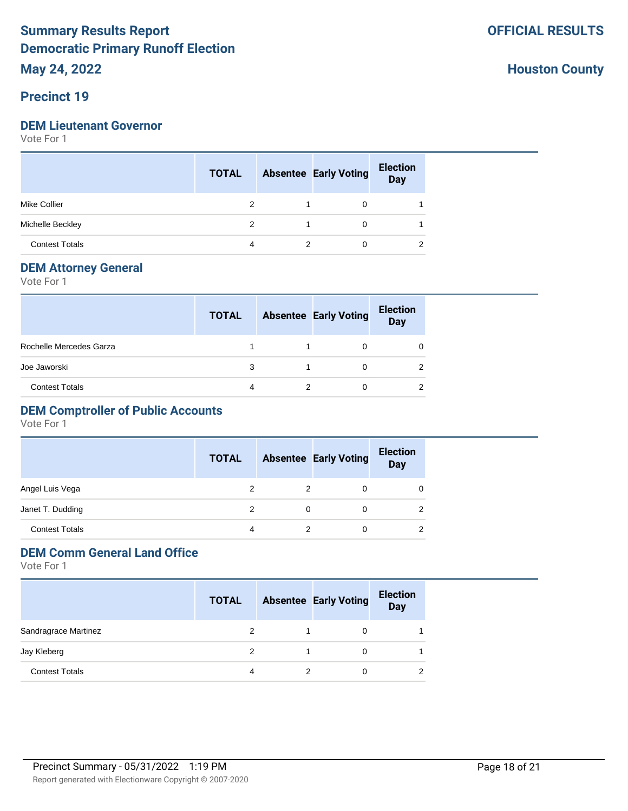#### **Precinct 19**

#### **DEM Lieutenant Governor**

Vote For 1

|                       | <b>TOTAL</b> | <b>Absentee Early Voting</b> | <b>Election</b><br>Day |
|-----------------------|--------------|------------------------------|------------------------|
| <b>Mike Collier</b>   |              | 0                            |                        |
| Michelle Beckley      | 2            | $\Omega$                     |                        |
| <b>Contest Totals</b> | 4            | 0                            | ◠                      |

#### **DEM Attorney General**

Vote For 1

|                         | <b>TOTAL</b> |   | <b>Absentee Early Voting</b> | <b>Election</b><br>Day |
|-------------------------|--------------|---|------------------------------|------------------------|
| Rochelle Mercedes Garza |              |   |                              |                        |
| Joe Jaworski            | 3            |   |                              |                        |
| <b>Contest Totals</b>   |              | っ |                              |                        |

## **DEM Comptroller of Public Accounts**

Vote For 1

|                       | <b>TOTAL</b> |   | <b>Absentee Early Voting</b> | <b>Election</b><br><b>Day</b> |
|-----------------------|--------------|---|------------------------------|-------------------------------|
| Angel Luis Vega       | 2            | 2 |                              | 0                             |
| Janet T. Dudding      |              | 0 |                              | 2                             |
| <b>Contest Totals</b> | 4            | 2 |                              | 2                             |

# **DEM Comm General Land Office**

|                       | <b>TOTAL</b> | <b>Absentee Early Voting</b> | <b>Election</b><br><b>Day</b> |
|-----------------------|--------------|------------------------------|-------------------------------|
| Sandragrace Martinez  | 2            |                              |                               |
| Jay Kleberg           | 2            | 0                            |                               |
| <b>Contest Totals</b> | 4            |                              |                               |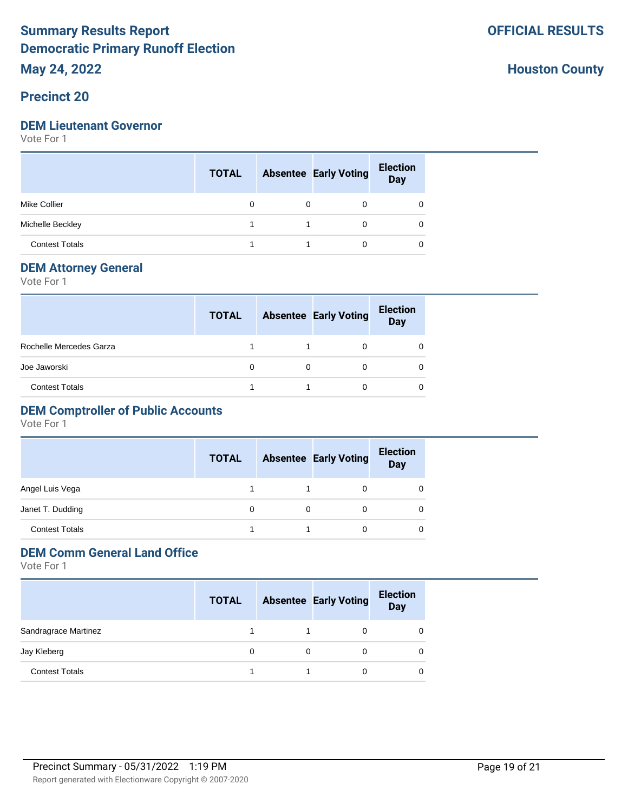#### **Precinct 20**

#### **DEM Lieutenant Governor**

Vote For 1

|                       | <b>TOTAL</b> | <b>Absentee Early Voting</b> | <b>Election</b><br>Day |
|-----------------------|--------------|------------------------------|------------------------|
| <b>Mike Collier</b>   | 0            | 0                            | 0                      |
| Michelle Beckley      |              | 0                            | 0                      |
| <b>Contest Totals</b> |              | 0                            | 0                      |

#### **DEM Attorney General**

Vote For 1

|                         | <b>TOTAL</b> | <b>Absentee Early Voting</b> | <b>Election</b><br><b>Day</b> |
|-------------------------|--------------|------------------------------|-------------------------------|
| Rochelle Mercedes Garza |              |                              |                               |
| Joe Jaworski            |              |                              |                               |
| <b>Contest Totals</b>   |              |                              |                               |

## **DEM Comptroller of Public Accounts**

Vote For 1

|                       | <b>TOTAL</b> | <b>Absentee Early Voting</b> | <b>Election</b><br><b>Day</b> |
|-----------------------|--------------|------------------------------|-------------------------------|
| Angel Luis Vega       |              | 0                            | O                             |
| Janet T. Dudding      | 0            |                              | 0                             |
| <b>Contest Totals</b> |              | 0                            | 0                             |

## **DEM Comm General Land Office**

|                       | <b>TOTAL</b> | <b>Absentee Early Voting</b> | <b>Election</b><br><b>Day</b> |
|-----------------------|--------------|------------------------------|-------------------------------|
| Sandragrace Martinez  |              |                              |                               |
| Jay Kleberg           |              |                              | O                             |
| <b>Contest Totals</b> |              | 0                            |                               |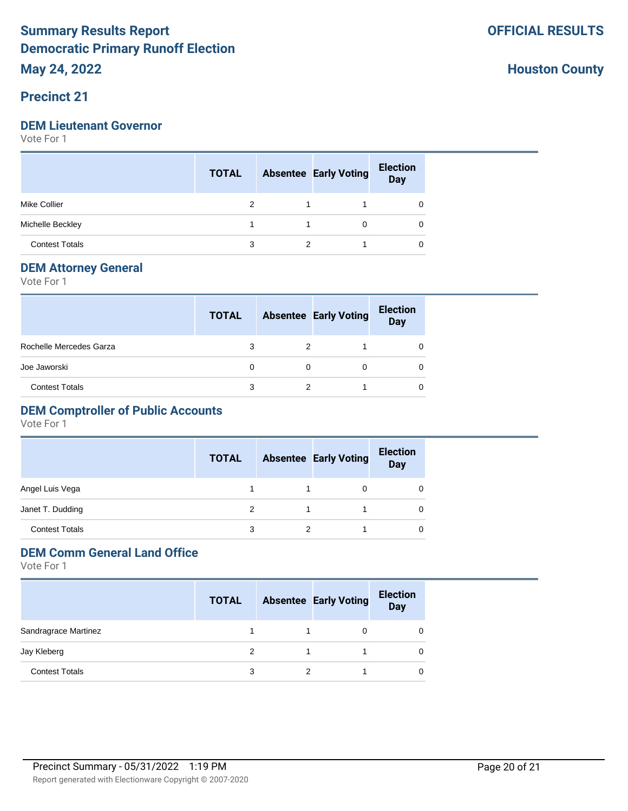#### **Precinct 21**

#### **DEM Lieutenant Governor**

Vote For 1

|                       | <b>TOTAL</b> |   | <b>Absentee Early Voting</b> | <b>Election</b><br>Day |
|-----------------------|--------------|---|------------------------------|------------------------|
| <b>Mike Collier</b>   |              |   |                              | 0                      |
| Michelle Beckley      |              |   | $\Omega$                     | 0                      |
| <b>Contest Totals</b> | 3            | 2 |                              | 0                      |

#### **DEM Attorney General**

Vote For 1

|                         | <b>TOTAL</b> |   | <b>Absentee Early Voting</b> | <b>Election</b><br><b>Day</b> |
|-------------------------|--------------|---|------------------------------|-------------------------------|
| Rochelle Mercedes Garza |              |   |                              |                               |
| Joe Jaworski            | 0            |   |                              |                               |
| <b>Contest Totals</b>   |              | 2 |                              |                               |

## **DEM Comptroller of Public Accounts**

Vote For 1

|                       | <b>TOTAL</b> |   | <b>Absentee Early Voting</b> | <b>Election</b><br><b>Day</b> |
|-----------------------|--------------|---|------------------------------|-------------------------------|
| Angel Luis Vega       |              | 1 | 0                            |                               |
| Janet T. Dudding      | 2            |   |                              |                               |
| <b>Contest Totals</b> | 3            |   |                              |                               |

## **DEM Comm General Land Office**

|                       | <b>TOTAL</b> |   | <b>Absentee Early Voting</b> | <b>Election</b><br><b>Day</b> |
|-----------------------|--------------|---|------------------------------|-------------------------------|
| Sandragrace Martinez  |              |   | 0                            |                               |
| Jay Kleberg           |              |   |                              |                               |
| <b>Contest Totals</b> | 3            | 2 |                              |                               |